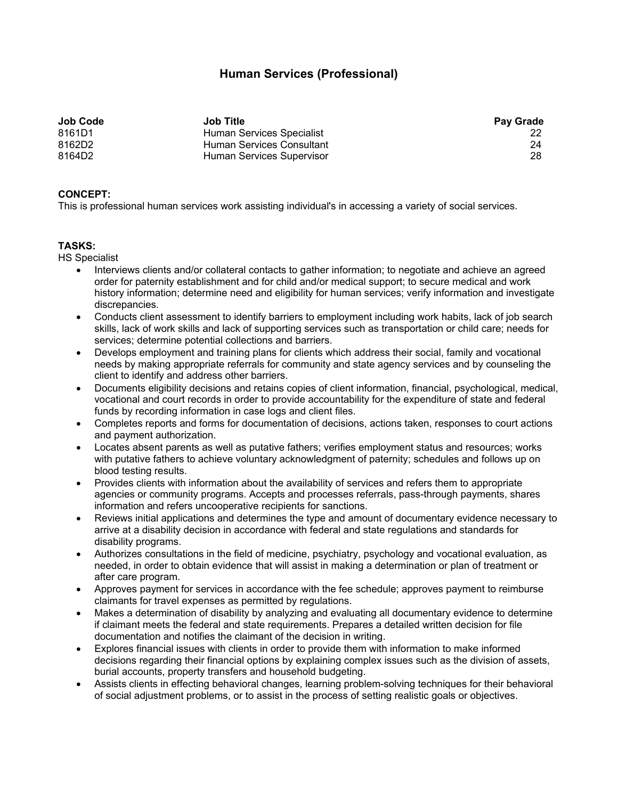## **Human Services (Professional)**

| <b>Job Code</b> | <b>Job Title</b>          | <b>Pay Grade</b> |
|-----------------|---------------------------|------------------|
| 8161D1          | Human Services Specialist |                  |
| 8162D2          | Human Services Consultant | 24               |
| 8164D2          | Human Services Supervisor | 28               |

## **CONCEPT:**

This is professional human services work assisting individual's in accessing a variety of social services.

## **TASKS:**

HS Specialist

- Interviews clients and/or collateral contacts to gather information; to negotiate and achieve an agreed order for paternity establishment and for child and/or medical support; to secure medical and work history information; determine need and eligibility for human services; verify information and investigate discrepancies.
- Conducts client assessment to identify barriers to employment including work habits, lack of job search skills, lack of work skills and lack of supporting services such as transportation or child care; needs for services; determine potential collections and barriers.
- Develops employment and training plans for clients which address their social, family and vocational needs by making appropriate referrals for community and state agency services and by counseling the client to identify and address other barriers.
- Documents eligibility decisions and retains copies of client information, financial, psychological, medical, vocational and court records in order to provide accountability for the expenditure of state and federal funds by recording information in case logs and client files.
- Completes reports and forms for documentation of decisions, actions taken, responses to court actions and payment authorization.
- Locates absent parents as well as putative fathers; verifies employment status and resources; works with putative fathers to achieve voluntary acknowledgment of paternity; schedules and follows up on blood testing results.
- Provides clients with information about the availability of services and refers them to appropriate agencies or community programs. Accepts and processes referrals, pass-through payments, shares information and refers uncooperative recipients for sanctions.
- Reviews initial applications and determines the type and amount of documentary evidence necessary to arrive at a disability decision in accordance with federal and state regulations and standards for disability programs.
- Authorizes consultations in the field of medicine, psychiatry, psychology and vocational evaluation, as needed, in order to obtain evidence that will assist in making a determination or plan of treatment or after care program.
- Approves payment for services in accordance with the fee schedule; approves payment to reimburse claimants for travel expenses as permitted by regulations.
- Makes a determination of disability by analyzing and evaluating all documentary evidence to determine if claimant meets the federal and state requirements. Prepares a detailed written decision for file documentation and notifies the claimant of the decision in writing.
- Explores financial issues with clients in order to provide them with information to make informed decisions regarding their financial options by explaining complex issues such as the division of assets, burial accounts, property transfers and household budgeting.
- Assists clients in effecting behavioral changes, learning problem-solving techniques for their behavioral of social adjustment problems, or to assist in the process of setting realistic goals or objectives.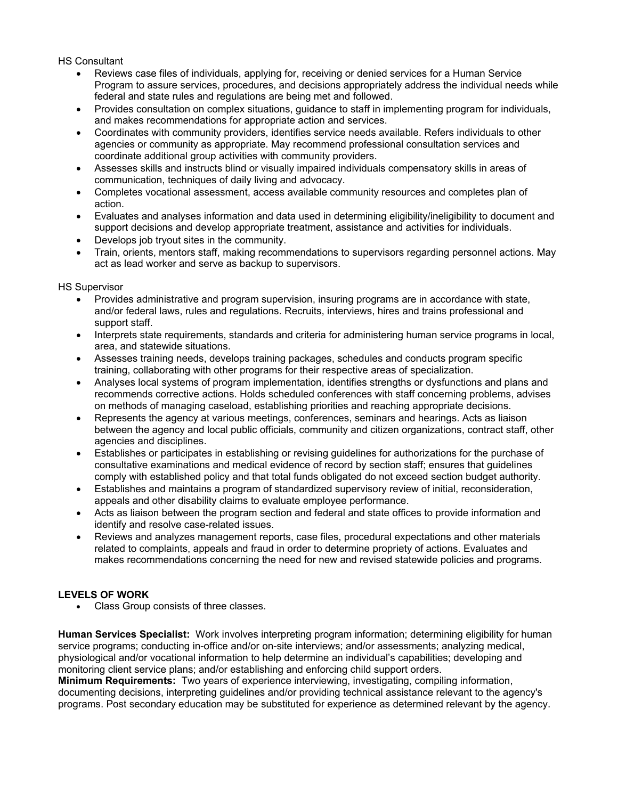HS Consultant

- Reviews case files of individuals, applying for, receiving or denied services for a Human Service Program to assure services, procedures, and decisions appropriately address the individual needs while federal and state rules and regulations are being met and followed.
- Provides consultation on complex situations, guidance to staff in implementing program for individuals, and makes recommendations for appropriate action and services.
- Coordinates with community providers, identifies service needs available. Refers individuals to other agencies or community as appropriate. May recommend professional consultation services and coordinate additional group activities with community providers.
- Assesses skills and instructs blind or visually impaired individuals compensatory skills in areas of communication, techniques of daily living and advocacy.
- Completes vocational assessment, access available community resources and completes plan of action.
- Evaluates and analyses information and data used in determining eligibility/ineligibility to document and support decisions and develop appropriate treatment, assistance and activities for individuals.
- Develops job tryout sites in the community.
- Train, orients, mentors staff, making recommendations to supervisors regarding personnel actions. May act as lead worker and serve as backup to supervisors.

HS Supervisor

- Provides administrative and program supervision, insuring programs are in accordance with state, and/or federal laws, rules and regulations. Recruits, interviews, hires and trains professional and support staff.
- Interprets state requirements, standards and criteria for administering human service programs in local, area, and statewide situations.
- Assesses training needs, develops training packages, schedules and conducts program specific training, collaborating with other programs for their respective areas of specialization.
- Analyses local systems of program implementation, identifies strengths or dysfunctions and plans and recommends corrective actions. Holds scheduled conferences with staff concerning problems, advises on methods of managing caseload, establishing priorities and reaching appropriate decisions.
- Represents the agency at various meetings, conferences, seminars and hearings. Acts as liaison between the agency and local public officials, community and citizen organizations, contract staff, other agencies and disciplines.
- Establishes or participates in establishing or revising guidelines for authorizations for the purchase of consultative examinations and medical evidence of record by section staff; ensures that guidelines comply with established policy and that total funds obligated do not exceed section budget authority.
- Establishes and maintains a program of standardized supervisory review of initial, reconsideration, appeals and other disability claims to evaluate employee performance.
- Acts as liaison between the program section and federal and state offices to provide information and identify and resolve case-related issues.
- Reviews and analyzes management reports, case files, procedural expectations and other materials related to complaints, appeals and fraud in order to determine propriety of actions. Evaluates and makes recommendations concerning the need for new and revised statewide policies and programs.

## **LEVELS OF WORK**

Class Group consists of three classes.

**Human Services Specialist:** Work involves interpreting program information; determining eligibility for human service programs; conducting in-office and/or on-site interviews; and/or assessments; analyzing medical, physiological and/or vocational information to help determine an individual's capabilities; developing and monitoring client service plans; and/or establishing and enforcing child support orders.

**Minimum Requirements:** Two years of experience interviewing, investigating, compiling information, documenting decisions, interpreting guidelines and/or providing technical assistance relevant to the agency's programs. Post secondary education may be substituted for experience as determined relevant by the agency.